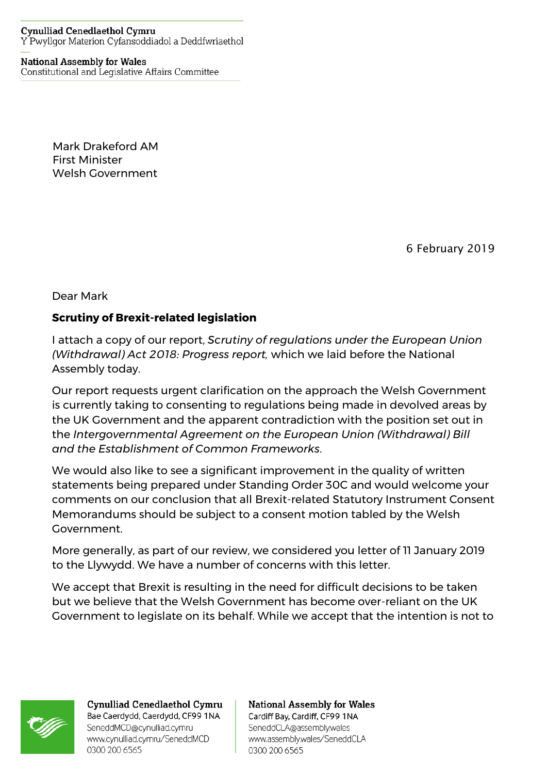## **Cynulliad Cenedlaethol Cymru** Y Pwyllgor Materion Cyfansoddiadol a Deddfwriaethol

## **National Assembly for Wales** Constitutional and Legislative Affairs Committee

Mark Drakeford AM First Minister Welsh Government

6 February 2019

Dear Mark

## **Scrutiny of Brexit-related legislation**

I attach a copy of our report, *Scrutiny of regulations under the European Union (Withdrawal) Act 2018: Progress report,* which we laid before the National Assembly today.

Our report requests urgent clarification on the approach the Welsh Government is currently taking to consenting to regulations being made in devolved areas by the UK Government and the apparent contradiction with the position set out in the *Intergovernmental Agreement on the European Union (Withdrawal) Bill and the Establishment of Common Frameworks*.

We would also like to see a significant improvement in the quality of written statements being prepared under Standing Order 30C and would welcome your comments on our conclusion that all Brexit-related Statutory Instrument Consent Memorandums should be subject to a consent motion tabled by the Welsh Government.

More generally, as part of our review, we considered you letter of 11 January 2019 to the Llywydd. We have a number of concerns with this letter.

We accept that Brexit is resulting in the need for difficult decisions to be taken but we believe that the Welsh Government has become over-reliant on the UK Government to legislate on its behalf. While we accept that the intention is not to



Cynulliad Cenedlaethol Cymru Bae Caerdydd, Caerdydd, CF99 1NA SeneddMCD@cynulliad.cymru www.cynulliad.cymru/SeneddMCD 0300 200 6565

**National Assembly for Wales** Cardiff Bay, Cardiff, CF99 1NA SeneddCLA@assembly.wales www.assembly.wales/SeneddCLA 0300 200 6565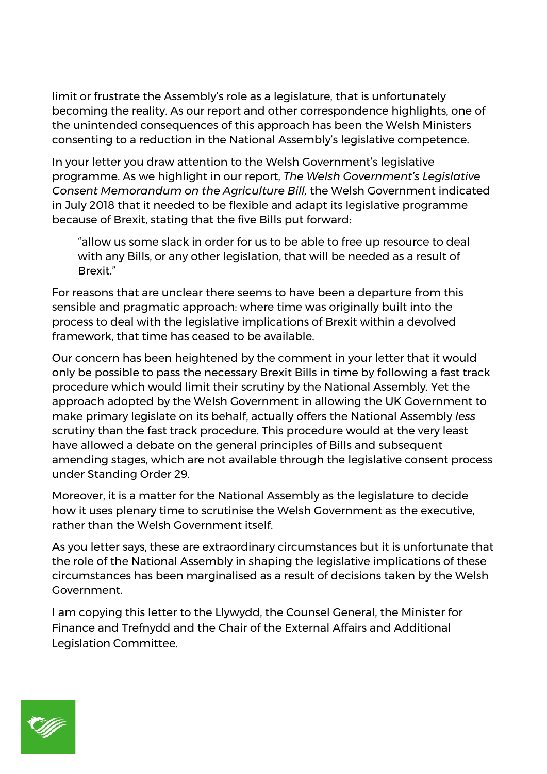limit or frustrate the Assembly's role as a legislature, that is unfortunately becoming the reality. As our report and other correspondence highlights, one of the unintended consequences of this approach has been the Welsh Ministers consenting to a reduction in the National Assembly's legislative competence.

In your letter you draw attention to the Welsh Government's legislative programme. As we highlight in our report, *The Welsh Government's Legislative Consent Memorandum on the Agriculture Bill,* the Welsh Government indicated in July 2018 that it needed to be flexible and adapt its legislative programme because of Brexit, stating that the five Bills put forward:

"allow us some slack in order for us to be able to free up resource to deal with any Bills, or any other legislation, that will be needed as a result of Brexit."

For reasons that are unclear there seems to have been a departure from this sensible and pragmatic approach: where time was originally built into the process to deal with the legislative implications of Brexit within a devolved framework, that time has ceased to be available.

Our concern has been heightened by the comment in your letter that it would only be possible to pass the necessary Brexit Bills in time by following a fast track procedure which would limit their scrutiny by the National Assembly. Yet the approach adopted by the Welsh Government in allowing the UK Government to make primary legislate on its behalf, actually offers the National Assembly *less* scrutiny than the fast track procedure. This procedure would at the very least have allowed a debate on the general principles of Bills and subsequent amending stages, which are not available through the legislative consent process under Standing Order 29.

Moreover, it is a matter for the National Assembly as the legislature to decide how it uses plenary time to scrutinise the Welsh Government as the executive, rather than the Welsh Government itself.

As you letter says, these are extraordinary circumstances but it is unfortunate that the role of the National Assembly in shaping the legislative implications of these circumstances has been marginalised as a result of decisions taken by the Welsh Government.

I am copying this letter to the Llywydd, the Counsel General, the Minister for Finance and Trefnydd and the Chair of the External Affairs and Additional Legislation Committee.